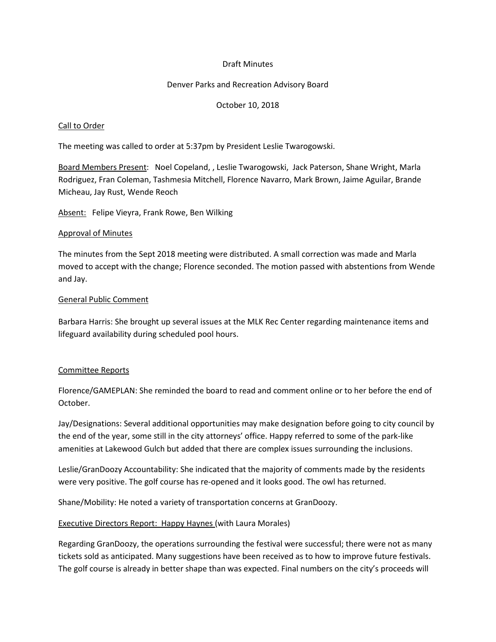## Draft Minutes

#### Denver Parks and Recreation Advisory Board

## October 10, 2018

#### Call to Order

The meeting was called to order at 5:37pm by President Leslie Twarogowski.

Board Members Present: Noel Copeland, , Leslie Twarogowski, Jack Paterson, Shane Wright, Marla Rodriguez, Fran Coleman, Tashmesia Mitchell, Florence Navarro, Mark Brown, Jaime Aguilar, Brande Micheau, Jay Rust, Wende Reoch

Absent: Felipe Vieyra, Frank Rowe, Ben Wilking

#### Approval of Minutes

The minutes from the Sept 2018 meeting were distributed. A small correction was made and Marla moved to accept with the change; Florence seconded. The motion passed with abstentions from Wende and Jay.

#### General Public Comment

Barbara Harris: She brought up several issues at the MLK Rec Center regarding maintenance items and lifeguard availability during scheduled pool hours.

## Committee Reports

Florence/GAMEPLAN: She reminded the board to read and comment online or to her before the end of October.

Jay/Designations: Several additional opportunities may make designation before going to city council by the end of the year, some still in the city attorneys' office. Happy referred to some of the park-like amenities at Lakewood Gulch but added that there are complex issues surrounding the inclusions.

Leslie/GranDoozy Accountability: She indicated that the majority of comments made by the residents were very positive. The golf course has re-opened and it looks good. The owl has returned.

Shane/Mobility: He noted a variety of transportation concerns at GranDoozy.

Executive Directors Report: Happy Haynes (with Laura Morales)

Regarding GranDoozy, the operations surrounding the festival were successful; there were not as many tickets sold as anticipated. Many suggestions have been received as to how to improve future festivals. The golf course is already in better shape than was expected. Final numbers on the city's proceeds will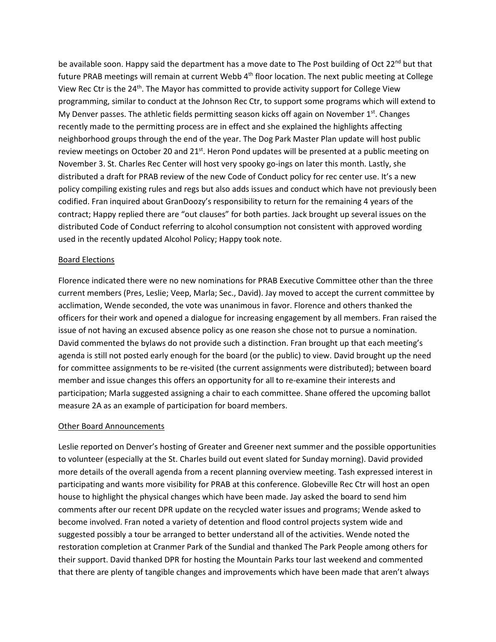be available soon. Happy said the department has a move date to The Post building of Oct 22<sup>nd</sup> but that future PRAB meetings will remain at current Webb 4<sup>th</sup> floor location. The next public meeting at College View Rec Ctr is the 24<sup>th</sup>. The Mayor has committed to provide activity support for College View programming, similar to conduct at the Johnson Rec Ctr, to support some programs which will extend to My Denver passes. The athletic fields permitting season kicks off again on November  $1<sup>st</sup>$ . Changes recently made to the permitting process are in effect and she explained the highlights affecting neighborhood groups through the end of the year. The Dog Park Master Plan update will host public review meetings on October 20 and 21<sup>st</sup>. Heron Pond updates will be presented at a public meeting on November 3. St. Charles Rec Center will host very spooky go-ings on later this month. Lastly, she distributed a draft for PRAB review of the new Code of Conduct policy for rec center use. It's a new policy compiling existing rules and regs but also adds issues and conduct which have not previously been codified. Fran inquired about GranDoozy's responsibility to return for the remaining 4 years of the contract; Happy replied there are "out clauses" for both parties. Jack brought up several issues on the distributed Code of Conduct referring to alcohol consumption not consistent with approved wording used in the recently updated Alcohol Policy; Happy took note.

#### Board Elections

Florence indicated there were no new nominations for PRAB Executive Committee other than the three current members (Pres, Leslie; Veep, Marla; Sec., David). Jay moved to accept the current committee by acclimation, Wende seconded, the vote was unanimous in favor. Florence and others thanked the officers for their work and opened a dialogue for increasing engagement by all members. Fran raised the issue of not having an excused absence policy as one reason she chose not to pursue a nomination. David commented the bylaws do not provide such a distinction. Fran brought up that each meeting's agenda is still not posted early enough for the board (or the public) to view. David brought up the need for committee assignments to be re-visited (the current assignments were distributed); between board member and issue changes this offers an opportunity for all to re-examine their interests and participation; Marla suggested assigning a chair to each committee. Shane offered the upcoming ballot measure 2A as an example of participation for board members.

#### Other Board Announcements

Leslie reported on Denver's hosting of Greater and Greener next summer and the possible opportunities to volunteer (especially at the St. Charles build out event slated for Sunday morning). David provided more details of the overall agenda from a recent planning overview meeting. Tash expressed interest in participating and wants more visibility for PRAB at this conference. Globeville Rec Ctr will host an open house to highlight the physical changes which have been made. Jay asked the board to send him comments after our recent DPR update on the recycled water issues and programs; Wende asked to become involved. Fran noted a variety of detention and flood control projects system wide and suggested possibly a tour be arranged to better understand all of the activities. Wende noted the restoration completion at Cranmer Park of the Sundial and thanked The Park People among others for their support. David thanked DPR for hosting the Mountain Parks tour last weekend and commented that there are plenty of tangible changes and improvements which have been made that aren't always